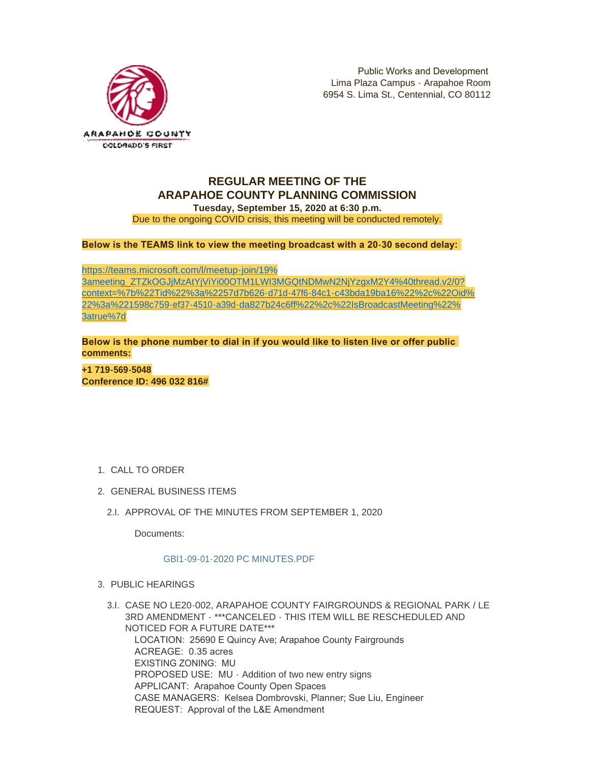

## **REGULAR MEETING OF THE ARAPAHOE COUNTY PLANNING COMMISSION**

**Tuesday, September 15, 2020 at 6:30 p.m.** Due to the ongoing COVID crisis, this meeting will be conducted remotely.

**Below is the TEAMS link to view the meeting broadcast with a 20-30 second delay:** 

https://teams.microsoft.com/l/meetup-join/19% 3ameeting\_ZTZkOGJjMzAtYjViYi00OTM1LWI3MGQtNDMwN2NjYzgxM2Y4%40thread.v2/0? [context=%7b%22Tid%22%3a%2257d7b626-d71d-47f6-84c1-c43bda19ba16%22%2c%22Oid%](https://teams.microsoft.com/l/meetup-join/19%3ameeting_ZTZkOGJjMzAtYjViYi00OTM1LWI3MGQtNDMwN2NjYzgxM2Y4%40thread.v2/0?context=%7b%22Tid%22%3a%2257d7b626-d71d-47f6-84c1-c43bda19ba16%22%2c%22Oid%22%3a%221598c759-ef37-4510-a39d-da827b24c6ff%22%2c%22IsBroadcastMeeting%22%3atrue%7d) 22%3a%221598c759-ef37-4510-a39d-da827b24c6ff%22%2c%22IsBroadcastMeeting%22% 3atrue%7d

**Below is the phone number to dial in if you would like to listen live or offer public comments:**

**+1 719-569-5048 Conference ID: 496 032 816#**

- 1. CALL TO ORDER
- GENERAL BUSINESS ITEMS 2.
	- 2.I. APPROVAL OF THE MINUTES FROM SEPTEMBER 1, 2020

Documents:

## [GBI1-09-01-2020 PC MINUTES.PDF](https://www.arapahoegov.com/AgendaCenter/ViewFile/Item/13310?fileID=24024)

- PUBLIC HEARINGS 3.
	- CASE NO LE20-002, ARAPAHOE COUNTY FAIRGROUNDS & REGIONAL PARK / LE 3.I. 3RD AMENDMENT - \*\*\*CANCELED - THIS ITEM WILL BE RESCHEDULED AND NOTICED FOR A FUTURE DATE\*\*\* LOCATION: 25690 E Quincy Ave; Arapahoe County Fairgrounds ACREAGE: 0.35 acres EXISTING ZONING: MU PROPOSED USE: MU - Addition of two new entry signs APPLICANT: Arapahoe County Open Spaces CASE MANAGERS: Kelsea Dombrovski, Planner; Sue Liu, Engineer REQUEST: Approval of the L&E Amendment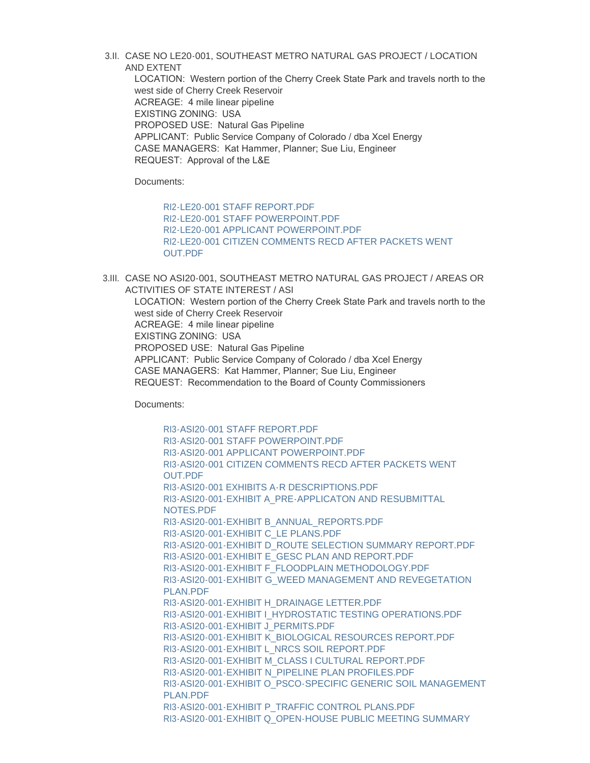3.II. CASE NO LE20·001, SOUTHEAST METRO NATURAL GAS PROJECT / LOCATION AND EXTENT

LOCATION: Western portion of the Cherry Creek State Park and travels north to the west side of Cherry Creek Reservoir ACREAGE: 4 mile linear pipeline EXISTING ZONING: USA PROPOSED USE: Natural Gas Pipeline APPLICANT: Public Service Company of Colorado / dba Xcel Energy CASE MANAGERS: Kat Hammer, Planner; Sue Liu, Engineer REQUEST: Approval of the L&E

Documents:

[RI2-LE20-001 STAFF REPORT.PDF](https://www.arapahoegov.com/AgendaCenter/ViewFile/Item/13312?fileID=24025) [RI2-LE20-001 STAFF POWERPOINT.PDF](https://www.arapahoegov.com/AgendaCenter/ViewFile/Item/13312?fileID=24026) [RI2-LE20-001 APPLICANT POWERPOINT.PDF](https://www.arapahoegov.com/AgendaCenter/ViewFile/Item/13312?fileID=24309) [RI2-LE20-001 CITIZEN COMMENTS RECD AFTER PACKETS WENT](https://www.arapahoegov.com/AgendaCenter/ViewFile/Item/13312?fileID=24324)  OUT.PDF

3.III. CASE NO ASI20-001, SOUTHEAST METRO NATURAL GAS PROJECT / AREAS OR ACTIVITIES OF STATE INTEREST / ASI

LOCATION: Western portion of the Cherry Creek State Park and travels north to the west side of Cherry Creek Reservoir ACREAGE: 4 mile linear pipeline EXISTING ZONING: USA PROPOSED USE: Natural Gas Pipeline APPLICANT: Public Service Company of Colorado / dba Xcel Energy CASE MANAGERS: Kat Hammer, Planner; Sue Liu, Engineer REQUEST: Recommendation to the Board of County Commissioners

Documents:

[RI3-ASI20-001 STAFF REPORT.PDF](https://www.arapahoegov.com/AgendaCenter/ViewFile/Item/13314?fileID=24028) [RI3-ASI20-001 STAFF POWERPOINT.PDF](https://www.arapahoegov.com/AgendaCenter/ViewFile/Item/13314?fileID=24029) [RI3-ASI20-001 APPLICANT POWERPOINT.PDF](https://www.arapahoegov.com/AgendaCenter/ViewFile/Item/13314?fileID=24308) [RI3-ASI20-001 CITIZEN COMMENTS RECD AFTER PACKETS WENT](https://www.arapahoegov.com/AgendaCenter/ViewFile/Item/13314?fileID=24323)  OUT.PDF [RI3-ASI20-001 EXHIBITS A-R DESCRIPTIONS.PDF](https://www.arapahoegov.com/AgendaCenter/ViewFile/Item/13314?fileID=24031) [RI3-ASI20-001-EXHIBIT A\\_PRE-APPLICATON AND RESUBMITTAL](https://www.arapahoegov.com/AgendaCenter/ViewFile/Item/13314?fileID=24049)  NOTES.PDF [RI3-ASI20-001-EXHIBIT B\\_ANNUAL\\_REPORTS.PDF](https://www.arapahoegov.com/AgendaCenter/ViewFile/Item/13314?fileID=24032) [RI3-ASI20-001-EXHIBIT C\\_LE PLANS.PDF](https://www.arapahoegov.com/AgendaCenter/ViewFile/Item/13314?fileID=24033) [RI3-ASI20-001-EXHIBIT D\\_ROUTE SELECTION SUMMARY REPORT.PDF](https://www.arapahoegov.com/AgendaCenter/ViewFile/Item/13314?fileID=24034) [RI3-ASI20-001-EXHIBIT E\\_GESC PLAN AND REPORT.PDF](https://www.arapahoegov.com/AgendaCenter/ViewFile/Item/13314?fileID=24035) [RI3-ASI20-001-EXHIBIT F\\_FLOODPLAIN METHODOLOGY.PDF](https://www.arapahoegov.com/AgendaCenter/ViewFile/Item/13314?fileID=24036) [RI3-ASI20-001-EXHIBIT G\\_WEED MANAGEMENT AND REVEGETATION](https://www.arapahoegov.com/AgendaCenter/ViewFile/Item/13314?fileID=24037)  PLAN.PDF [RI3-ASI20-001-EXHIBIT H\\_DRAINAGE LETTER.PDF](https://www.arapahoegov.com/AgendaCenter/ViewFile/Item/13314?fileID=24038) [RI3-ASI20-001-EXHIBIT I\\_HYDROSTATIC TESTING OPERATIONS.PDF](https://www.arapahoegov.com/AgendaCenter/ViewFile/Item/13314?fileID=24039) [RI3-ASI20-001-EXHIBIT J\\_PERMITS.PDF](https://www.arapahoegov.com/AgendaCenter/ViewFile/Item/13314?fileID=24040) [RI3-ASI20-001-EXHIBIT K\\_BIOLOGICAL RESOURCES REPORT.PDF](https://www.arapahoegov.com/AgendaCenter/ViewFile/Item/13314?fileID=24041) [RI3-ASI20-001-EXHIBIT L\\_NRCS SOIL REPORT.PDF](https://www.arapahoegov.com/AgendaCenter/ViewFile/Item/13314?fileID=24042) [RI3-ASI20-001-EXHIBIT M\\_CLASS I CULTURAL REPORT.PDF](https://www.arapahoegov.com/AgendaCenter/ViewFile/Item/13314?fileID=24043) [RI3-ASI20-001-EXHIBIT N\\_PIPELINE PLAN PROFILES.PDF](https://www.arapahoegov.com/AgendaCenter/ViewFile/Item/13314?fileID=24044) [RI3-ASI20-001-EXHIBIT O\\_PSCO-SPECIFIC GENERIC SOIL MANAGEMENT](https://www.arapahoegov.com/AgendaCenter/ViewFile/Item/13314?fileID=24045)  PLAN.PDF [RI3-ASI20-001-EXHIBIT P\\_TRAFFIC CONTROL PLANS.PDF](https://www.arapahoegov.com/AgendaCenter/ViewFile/Item/13314?fileID=24046) [RI3-ASI20-001-EXHIBIT Q\\_OPEN-HOUSE PUBLIC MEETING SUMMARY](https://www.arapahoegov.com/AgendaCenter/ViewFile/Item/13314?fileID=24047)